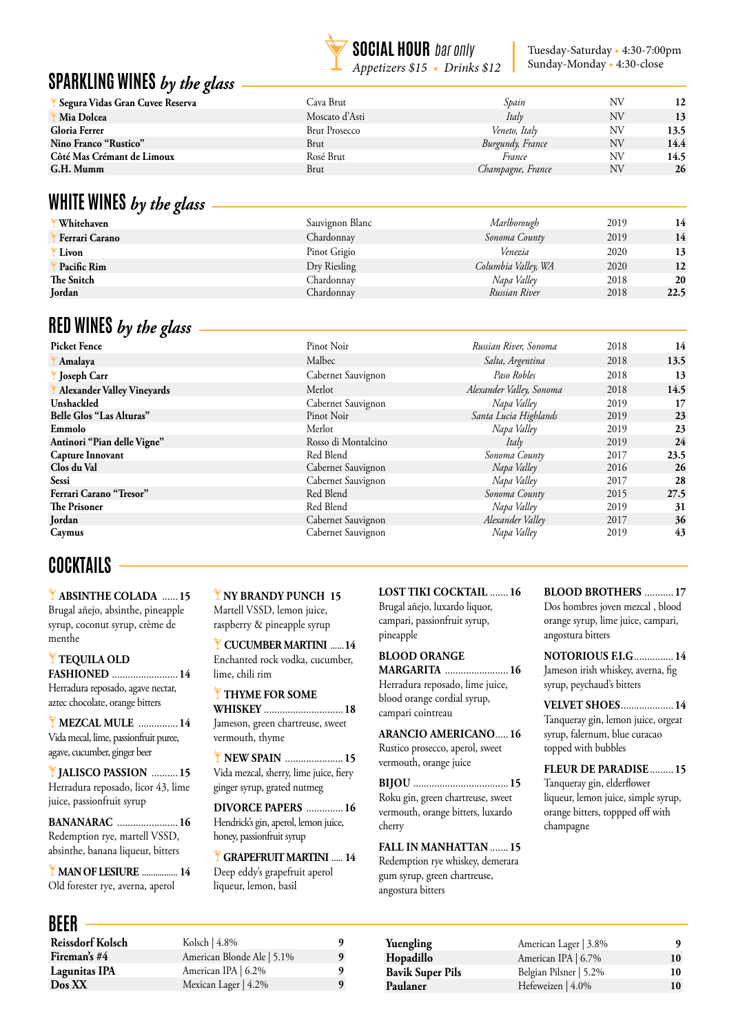

Tuesday-Saturday • 4:30-7:00pm Sunday-Monday • 4:30-close

### **SPARKLING WINES** *by the glass*

| Segura Vidas Gran Cuvee Reserva | Cava Brut            | Spain             | ΝV | 12   |
|---------------------------------|----------------------|-------------------|----|------|
| Mia Dolcea                      | Moscato d'Asti       | Italy             | ΝV | 13   |
| Gloria Ferrer                   | <b>Brut Prosecco</b> | Veneto, Italy     | ΝV | 13.5 |
| Nino Franco "Rustico"           | Brut                 | Burgundy, France  | NV | 14.4 |
| Côté Mas Crémant de Limoux      | Rosé Brut            | France            | ΝV | 14.5 |
| G.H. Mumm                       | Brut                 | Champagne, France | NV | 26   |
|                                 |                      |                   |    |      |
|                                 |                      |                   |    |      |

### **WHITE WINES** *by the glass*

|                | ັ | O |                 |                     |      |      |
|----------------|---|---|-----------------|---------------------|------|------|
| Whitehaven     |   |   | Sauvignon Blanc | Marlborough         | 2019 | 14   |
| Ferrari Carano |   |   | Chardonnay      | Sonoma County       | 2019 | 14   |
| Livon          |   |   | Pinot Grigio    | Venezia             | 2020 | 13   |
| Pacific Rim    |   |   | Dry Riesling    | Columbia Valley, WA | 2020 | 12   |
| The Snitch     |   |   | Chardonnav      | Napa Valley         | 2018 | 20   |
| Jordan         |   |   | Chardonnay      | Russian River       | 2018 | 22.5 |
|                |   |   |                 |                     |      |      |

### **RED WINES** *by the glass*

**Picket Fence** Pinot Noir *Russian River, Sonoma* 2018 **14 Amalaya** Malbec *Salta, Argentina* 2018 **13.5 Joseph Carr** Cabernet Sauvignon *Paso Robles* 2018 **13 Alexander Valley Vineyards** Merlot *Alexander Valley, Sonoma* 2018 **14.5 Unshackled** Cabernet Sauvignon *Napa Valley* 2019 **17 Belle Glos "Las Alturas"** Pinot Noir *Santa Lucia Highlands* 2019 **23 Emmolo** Merlot *Napa Valley* 2019 **23 Antinori "Pian delle Vigne"** Rosso di Montalcino *Italy* 2019 **24 Capture Innovant** Red Blend *Sonoma County* 2017 **23.5 Clos du Val** Cabernet Sauvignon *Napa Valley* 2016 **26 Sessi** Cabernet Sauvignon *Napa Valley* 2017 **28 Ferrari Carano "Tresor"** Red Blend *Sonoma County* 2015 **27.5**<br>
Red Blend *Napa Valley Red Blend Napa Valley* **The Prisoner** 2019 **31 Red Blend Red Blend** *Napa Valley* 2019 **31 Jordan** Cabernet Sauvignon *Alexander Valley* 2017 **36 Caymus** Cabernet Sauvignon *Napa Valley* 2019 **43**

## **COCKTAILS**

 **ABSINTHE COLADA** ...... **15** Brugal añejo, absinthe, pineapple syrup, coconut syrup, crème de menthe

#### **TEQUILA OLD FASHIONED** ......................... **14**

Herradura reposado, agave nectar, aztec chocolate, orange bitters

 **MEZCAL MULE** ............... **14** Vida mecal, lime, passionfruit puree, agave, cucumber, ginger beer

**JALISCO PASSION** .......... **15** Herradura reposado, licor 43, lime juice, passionfruit syrup

**BANANARAC** ....................... **16** Redemption rye, martell VSSD, absinthe, banana liqueur, bitters

 **MAN OF LESIURE** ................ **14** Old forester rye, averna, aperol

### **BEER**

**NY BRANDY PUNCH 15**

Martell VSSD, lemon juice, raspberry & pineapple syrup

Enchanted rock vodka, cucumber, lime, chili rim

#### **THYME FOR SOME**

**WHISKEY** .............................. **18** Jameson, green chartreuse, sweet vermouth, thyme

**NEW SPAIN** ...................... **15**  Vida mezcal, sherry, lime juice, fiery ginger syrup, grated nutmeg

**DIVORCE PAPERS** .............. **16** Hendrick's gin, aperol, lemon juice, honey, passionfruit syrup

 **GRAPEFRUIT MARTINI** ..... **14** Deep eddy's grapefruit aperol liqueur, lemon, basil

| DLLII                   |                            |   |
|-------------------------|----------------------------|---|
| <b>Reissdorf Kolsch</b> | Kolsch $ 4.8\%$            | 9 |
| Fireman's #4            | American Blonde Ale   5.1% | 9 |
| <b>Lagunitas IPA</b>    | American IPA   6.2%        | 9 |
| $\log XX$               | Mexican Lager $ 4.2\%$     | 9 |
|                         |                            |   |

**LOST TIKI COCKTAIL** ....... **16** Brugal añejo, luxardo liquor, campari, passionfruit syrup,

### pineapple **BLOOD ORANGE MARGARITA** ........................ **16**

blood orange cordial syrup,

**ARANCIO AMERICANO**..... **16** Rustico prosecco, aperol, sweet vermouth, orange juice

**BIJOU** .................................... **15** Roku gin, green chartreuse, sweet vermouth, orange bitters, luxardo cherry

**FALL IN MANHATTAN** ....... **15** Redemption rye whiskey, demerara gum syrup, green chartreuse, angostura bitters

#### **BLOOD BROTHERS** ........... **17** Dos hombres joven mezcal , blood orange syrup, lime juice, campari, angostura bitters

**NOTORIOUS F.I.G**............... **14** Jameson irish whiskey, averna, fig syrup, peychaud's bitters

**VELVET SHOES**.................... **14** Tanqueray gin, lemon juice, orgeat syrup, falernum, blue curacao topped with bubbles

Tanqueray gin, elderflower liqueur, lemon juice, simple syrup, orange bitters, toppped off with champagne

| Yuengling        | American Lager   3.8%  |    |
|------------------|------------------------|----|
| Hopadillo        | American IPA   6.7%    | 10 |
| Bavik Super Pils | Belgian Pilsner   5.2% | 10 |
| Paulaner         | Hefeweizen   4.0%      | 10 |
|                  |                        |    |

 **CUCUMBER MARTINI** ......**14**

Herradura reposado, lime juice,

campari cointreau

**FLEUR DE PARADISE**......... **15**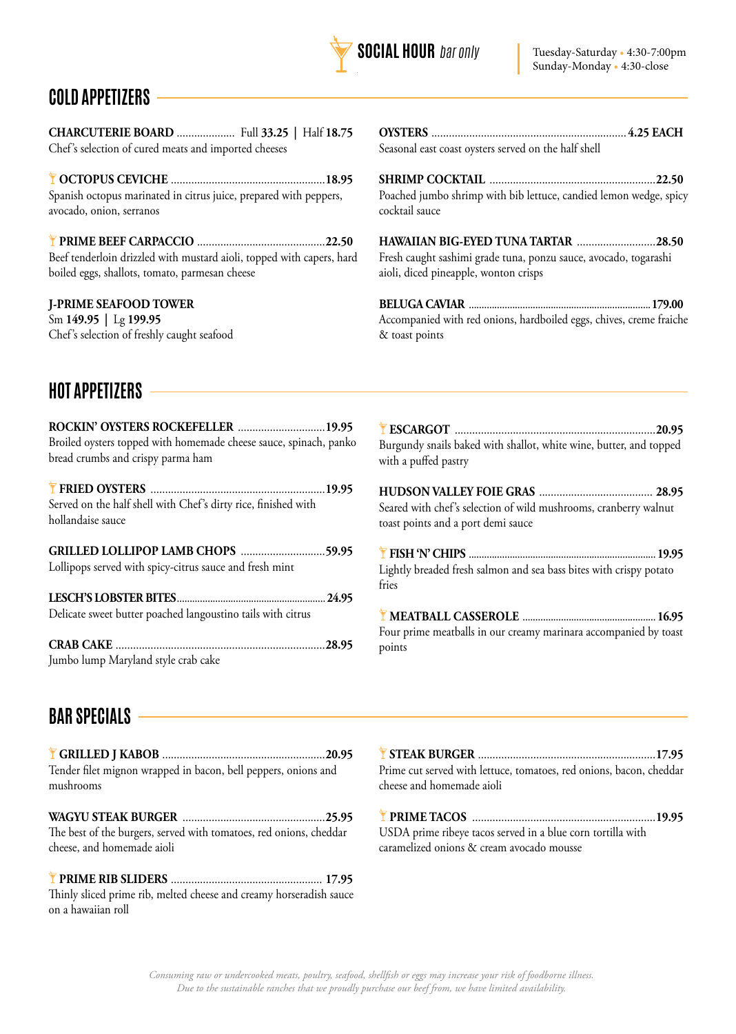

# **COLD APPETIZERS**

**CHARCUTERIE BOARD** .................... Full **33.25 |** Half **18.75** Chef's selection of cured meats and imported cheeses

**OCTOPUS CEVICHE** .....................................................**18.95** Spanish octopus marinated in citrus juice, prepared with peppers, avocado, onion, serranos

**PRIME BEEF CARPACCIO** ............................................**22.50** Beef tenderloin drizzled with mustard aioli, topped with capers, hard boiled eggs, shallots, tomato, parmesan cheese

#### **J-PRIME SEAFOOD TOWER**

Sm **149.95 |** Lg **199.95** Chef's selection of freshly caught seafood **OYSTERS** ................................................................... **4.25 EACH** Seasonal east coast oysters served on the half shell

**SHRIMP COCKTAIL** .........................................................**22.50** Poached jumbo shrimp with bib lettuce, candied lemon wedge, spicy cocktail sauce

**HAWAIIAN BIG-EYED TUNA TARTAR** ...........................**28.50** Fresh caught sashimi grade tuna, ponzu sauce, avocado, togarashi aioli, diced pineapple, wonton crisps

**BELUGA CAVIAR** .......................................................................**179.00** Accompanied with red onions, hardboiled eggs, chives, creme fraiche & toast points

## **HOT APPETIZERS**

| ROCKIN' OYSTERS ROCKEFELLER  19.95<br>Broiled oysters topped with homemade cheese sauce, spinach, panko<br>bread crumbs and crispy parma ham |  |
|----------------------------------------------------------------------------------------------------------------------------------------------|--|
| Served on the half shell with Chef's dirty rice, finished with<br>hollandaise sauce                                                          |  |
| GRILLED LOLLIPOP LAMB CHOPS 59.95<br>Lollipops served with spicy-citrus sauce and fresh mint                                                 |  |
| Delicate sweet butter poached langoustino tails with citrus                                                                                  |  |
| Jumbo lump Maryland style crab cake                                                                                                          |  |

**ESCARGOT** .....................................................................**20.95** Burgundy snails baked with shallot, white wine, butter, and topped with a puffed pastry

**HUDSON VALLEY FOIE GRAS** ....................................... **28.95** Seared with chef's selection of wild mushrooms, cranberry walnut toast points and a port demi sauce

**FISH 'N' CHIPS** .........................................................................**19.95** Lightly breaded fresh salmon and sea bass bites with crispy potato fries

**MEATBALL CASSEROLE** ....................................................**16.95** Four prime meatballs in our creamy marinara accompanied by toast points

## **BAR SPECIALS**

**GRILLED J KABOB** ........................................................**20.95** Tender filet mignon wrapped in bacon, bell peppers, onions and mushrooms

**WAGYU STEAK BURGER** .................................................**25.95** The best of the burgers, served with tomatoes, red onions, cheddar cheese, and homemade aioli

**PRIME RIB SLIDERS** .................................................... **17.95** Thinly sliced prime rib, melted cheese and creamy horseradish sauce on a hawaiian roll

| Prime cut served with lettuce, tomatoes, red onions, bacon, cheddar |  |
|---------------------------------------------------------------------|--|
| cheese and homemade aioli                                           |  |

**PRIME TACOS** ...............................................................**19.95** USDA prime ribeye tacos served in a blue corn tortilla with caramelized onions & cream avocado mousse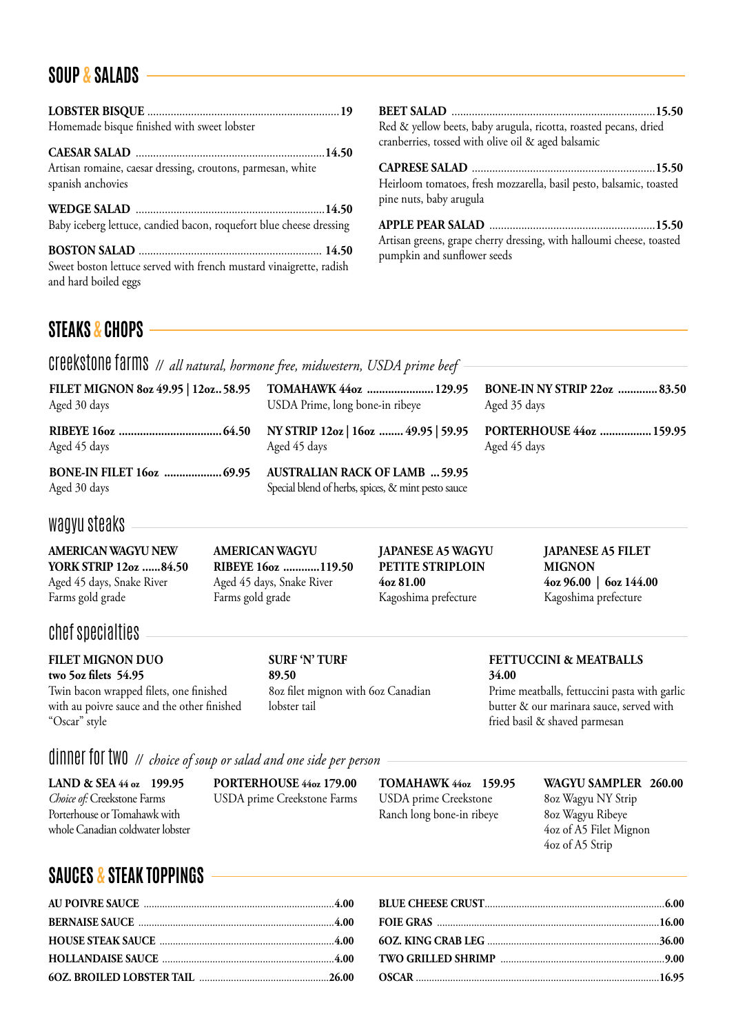## **SOUP & SALADS**

| Homemade bisque finished with sweet lobster                         |  |
|---------------------------------------------------------------------|--|
| Artisan romaine, caesar dressing, croutons, parmesan, white         |  |
| spanish anchovies                                                   |  |
|                                                                     |  |
| Baby iceberg lettuce, candied bacon, roquefort blue cheese dressing |  |
|                                                                     |  |
| Sweet boston lettuce served with french mustard vinaigrette, radish |  |
| and hard boiled eggs                                                |  |

**BEET SALAD** ......................................................................**15.50** Red & yellow beets, baby arugula, ricotta, roasted pecans, dried cranberries, tossed with olive oil & aged balsamic

**CAPRESE SALAD** ...............................................................**15.50** Heirloom tomatoes, fresh mozzarella, basil pesto, balsamic, toasted pine nuts, baby arugula

**APPLE PEAR SALAD** .........................................................**15.50** Artisan greens, grape cherry dressing, with halloumi cheese, toasted pumpkin and sunflower seeds

## **STEAKS & CHOPS**

creekstone farms *// all natural, hormone free, midwestern, USDA prime beef* 

| FILET MIGNON 8oz 49.95   12oz., 58.95 TOMAHAWK 44oz  129.95<br>Aged 30 days | USDA Prime, long bone-in ribeye                                                             | <b>BONE-IN NY STRIP 22oz  83.50</b><br>Aged 35 days |
|-----------------------------------------------------------------------------|---------------------------------------------------------------------------------------------|-----------------------------------------------------|
| Aged 45 days                                                                | Aged 45 days                                                                                | PORTERHOUSE 44oz  159.95<br>Aged 45 days            |
| <b>BONE-IN FILET 160z  69.95</b><br>Aged 30 days                            | <b>AUSTRALIAN RACK OF LAMB  59.95</b><br>Special blend of herbs, spices, & mint pesto sauce |                                                     |

### wagyu steaks

**AMERICAN WAGYU NEW YORK STRIP 12oz ......84.50** Aged 45 days, Snake River Farms gold grade

**AMERICAN WAGYU RIBEYE 16oz ............119.50** Aged 45 days, Snake River Farms gold grade

**JAPANESE A5 WAGYU PETITE STRIPLOIN 4oz 81.00** Kagoshima prefecture

**JAPANESE A5 FILET MIGNON 4oz 96.00 | 6oz 144.00** Kagoshima prefecture

### chef specialties

**FILET MIGNON DUO two 5oz filets 54.95** Twin bacon wrapped filets, one finished with au poivre sauce and the other finished "Oscar" style

**SURF 'N' TURF 89.50** 8oz filet mignon with 6oz Canadian lobster tail

**FETTUCCINI & MEATBALLS 34.00**

Prime meatballs, fettuccini pasta with garlic butter & our marinara sauce, served with fried basil & shaved parmesan

4oz of A5 Strip

dinner for two *// choice of soup or salad and one side per person* 

| LAND & SEA $44 \text{ oz}$ 199.95  | PORTERHOUSE 44oz 179.00     | <b>TOMAHAWK 44oz 159.95</b> | WAGYU SAMPLER 260.00   |
|------------------------------------|-----------------------------|-----------------------------|------------------------|
| <i>Choice of:</i> Creekstone Farms | USDA prime Creekstone Farms | USDA prime Creekstone       | 80z Wagyu NY Strip     |
| Porterhouse or Tomahawk with       |                             | Ranch long bone-in ribeye   | 80z Wagyu Ribeye       |
| whole Canadian coldwater lobster   |                             |                             | 4oz of A5 Filet Mignon |

## **SAUCES & STEAK TOPPINGS**